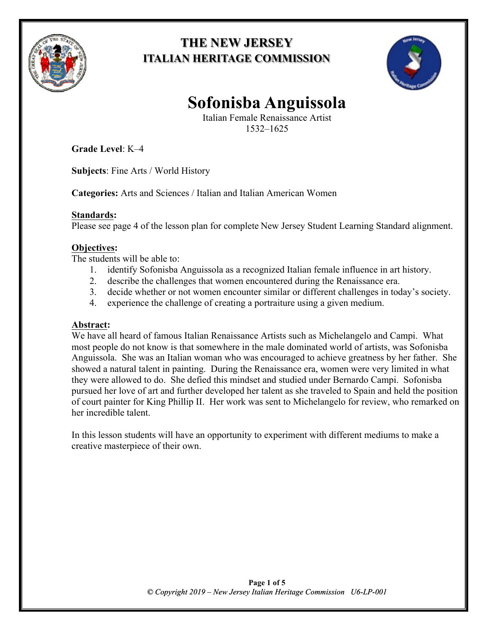

# **THE NEW JERSEY ITALIAN HERITAGE COMMISSION**



# **Sofonisba Anguissola**

Italian Female Renaissance Artist 1532–1625

**Grade Level**: K–4

**Subjects**: Fine Arts / World History

**Categories:** Arts and Sciences / Italian and Italian American Women

## **Standards:**

Please see page 4 of the lesson plan for complete New Jersey Student Learning Standard alignment.

# **Objectives:**

The students will be able to:

- 1. identify Sofonisba Anguissola as a recognized Italian female influence in art history.
- 2. describe the challenges that women encountered during the Renaissance era.
- 3. decide whether or not women encounter similar or different challenges in today's society.
- 4. experience the challenge of creating a portraiture using a given medium.

## **Abstract:**

We have all heard of famous Italian Renaissance Artists such as Michelangelo and Campi. What most people do not know is that somewhere in the male dominated world of artists, was Sofonisba Anguissola. She was an Italian woman who was encouraged to achieve greatness by her father. She showed a natural talent in painting. During the Renaissance era, women were very limited in what they were allowed to do. She defied this mindset and studied under Bernardo Campi. Sofonisba pursued her love of art and further developed her talent as she traveled to Spain and held the position of court painter for King Phillip II. Her work was sent to Michelangelo for review, who remarked on her incredible talent.

In this lesson students will have an opportunity to experiment with different mediums to make a creative masterpiece of their own.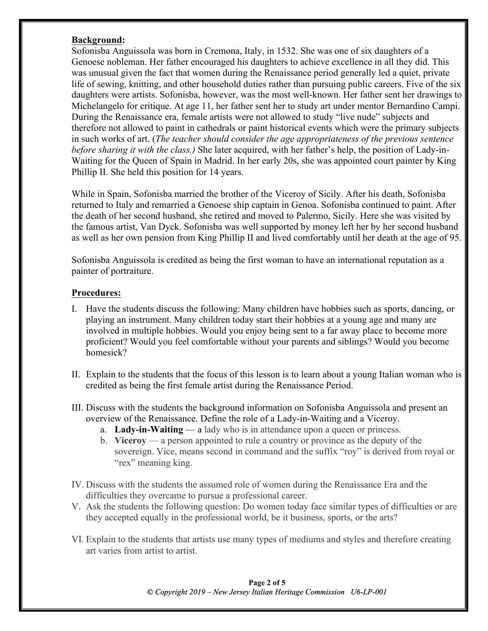#### **Background:**

Sofonisba Anguissola was born in Cremona, Italy, in 1532. She was one of six daughters of a Genoese nobleman. Her father encouraged his daughters to achieve excellence in all they did. This was unusual given the fact that women during the Renaissance period generally led a quiet, private life of sewing, knitting, and other household duties rather than pursuing public careers. Five of the six daughters were artists. Sofonisba, however, was the most well-known. Her father sent her drawings to Michelangelo for critique. At age 11, her father sent her to study art under mentor Bernardino Campi. During the Renaissance era, female artists were not allowed to study "live nude" subjects and therefore not allowed to paint in cathedrals or paint historical events which were the primary subjects in such works of art. (*The teacher should consider the age appropriateness of the previous sentence before sharing it with the class.)* She later acquired, with her father's help, the position of Lady-in-Waiting for the Queen of Spain in Madrid. In her early 20s, she was appointed court painter by King Phillip II. She held this position for 14 years.

While in Spain, Sofonisba married the brother of the Viceroy of Sicily. After his death, Sofonisba returned to Italy and remarried a Genoese ship captain in Genoa. Sofonisba continued to paint. After the death of her second husband, she retired and moved to Palermo, Sicily. Here she was visited by the famous artist, Van Dyck. Sofonisba was well supported by money left her by her second husband as well as her own pension from King Phillip II and lived comfortably until her death at the age of 95.

Sofonisba Anguissola is credited as being the first woman to have an international reputation as a painter of portraiture.

#### **Procedures:**

- I. Have the students discuss the following: Many children have hobbies such as sports, dancing, or playing an instrument. Many children today start their hobbies at a young age and many are involved in multiple hobbies. Would you enjoy being sent to a far away place to become more proficient? Would you feel comfortable without your parents and siblings? Would you become homesick?
- II. Explain to the students that the focus of this lesson is to learn about a young Italian woman who is credited as being the first female artist during the Renaissance Period.
- III. Discuss with the students the background information on Sofonisba Anguissola and present an overview of the Renaissance. Define the role of a Lady-in-Waiting and a Viceroy.
	- a. **Lady-in-Waiting** a lady who is in attendance upon a queen or princess.
	- b. **Viceroy** a person appointed to rule a country or province as the deputy of the sovereign. Vice, means second in command and the suffix "roy" is derived from royal or "rex" meaning king.
- IV. Discuss with the students the assumed role of women during the Renaissance Era and the difficulties they overcame to pursue a professional career.
- V. Ask the students the following question: Do women today face similar types of difficulties or are they accepted equally in the professional world, be it business, sports, or the arts?
- VI. Explain to the students that artists use many types of mediums and styles and therefore creating art varies from artist to artist.

**Page 2 of 5** *© Copyright 201 2019 – New Jersey Italian Heritage Commission U6 U6-LP-001*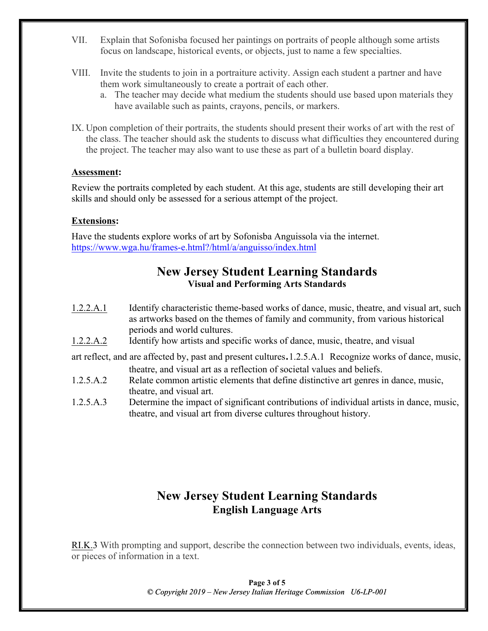- VII. Explain that Sofonisba focused her paintings on portraits of people although some artists focus on landscape, historical events, or objects, just to name a few specialties.
- VIII. Invite the students to join in a portraiture activity. Assign each student a partner and have them work simultaneously to create a portrait of each other.
	- a. The teacher may decide what medium the students should use based upon materials they have available such as paints, crayons, pencils, or markers.
- IX. Upon completion of their portraits, the students should present their works of art with the rest of the class. The teacher should ask the students to discuss what difficulties they encountered during the project. The teacher may also want to use these as part of a bulletin board display.

#### **Assessment:**

Review the portraits completed by each student. At this age, students are still developing their art skills and should only be assessed for a serious attempt of the project.

#### **Extensions:**

Have the students explore works of art by Sofonisba Anguissola via the internet. https://www.wga.hu/frames-e.html?/html/a/anguisso/index.html

# **New Jersey Student Learning Standards Visual and Performing Arts Standards**

- 1.2.2.A.1 Identify characteristic theme-based works of dance, music, theatre, and visual art, such as artworks based on the themes of family and community, from various historical periods and world cultures.
- 1.2.2.A.2 Identify how artists and specific works of dance, music, theatre, and visual

art reflect, and are affected by, past and present cultures.1.2.5.A.1 Recognize works of dance, music, theatre, and visual art as a reflection of societal values and beliefs.

- 1.2.5.A.2 Relate common artistic elements that define distinctive art genres in dance, music, theatre, and visual art.
- 1.2.5.A.3 Determine the impact of significant contributions of individual artists in dance, music, theatre, and visual art from diverse cultures throughout history.

# **New Jersey Student Learning Standards English Language Arts**

RI.K.3 With prompting and support, describe the connection between two individuals, events, ideas, or pieces of information in a text.

> **Page 3 of 5** *© Copyright 201 2019 – New Jersey Italian Heritage Commission U6 U6-LP-001*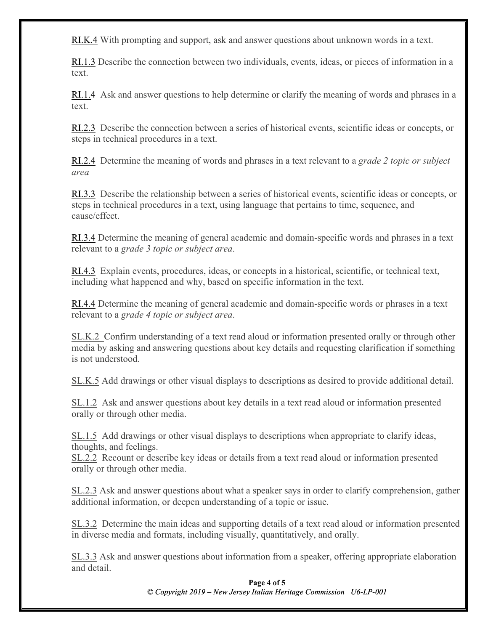RI.K.4 With prompting and support, ask and answer questions about unknown words in a text.

RI.1.3 Describe the connection between two individuals, events, ideas, or pieces of information in a text.

RI.1.4 Ask and answer questions to help determine or clarify the meaning of words and phrases in a text.

RI.2.3 Describe the connection between a series of historical events, scientific ideas or concepts, or steps in technical procedures in a text.

RI.2.4 Determine the meaning of words and phrases in a text relevant to a *grade 2 topic or subject area*

RI.3.3 Describe the relationship between a series of historical events, scientific ideas or concepts, or steps in technical procedures in a text, using language that pertains to time, sequence, and cause/effect.

RI.3.4 Determine the meaning of general academic and domain-specific words and phrases in a text relevant to a *grade 3 topic or subject area*.

RI.4.3 Explain events, procedures, ideas, or concepts in a historical, scientific, or technical text, including what happened and why, based on specific information in the text.

RI.4.4 Determine the meaning of general academic and domain-specific words or phrases in a text relevant to a *grade 4 topic or subject area*.

SL.K.2 Confirm understanding of a text read aloud or information presented orally or through other media by asking and answering questions about key details and requesting clarification if something is not understood.

SL.K.5 Add drawings or other visual displays to descriptions as desired to provide additional detail.

SL.1.2 Ask and answer questions about key details in a text read aloud or information presented orally or through other media.

SL.1.5 Add drawings or other visual displays to descriptions when appropriate to clarify ideas, thoughts, and feelings.

SL.2.2 Recount or describe key ideas or details from a text read aloud or information presented orally or through other media.

SL.2.3 Ask and answer questions about what a speaker says in order to clarify comprehension, gather additional information, or deepen understanding of a topic or issue.

SL.3.2 Determine the main ideas and supporting details of a text read aloud or information presented in diverse media and formats, including visually, quantitatively, and orally.

SL.3.3 Ask and answer questions about information from a speaker, offering appropriate elaboration and detail.

> **Page 4 of 5** *© Copyright 201 2019 – New Jersey Italian Heritage Commission U6 U6-LP-001*